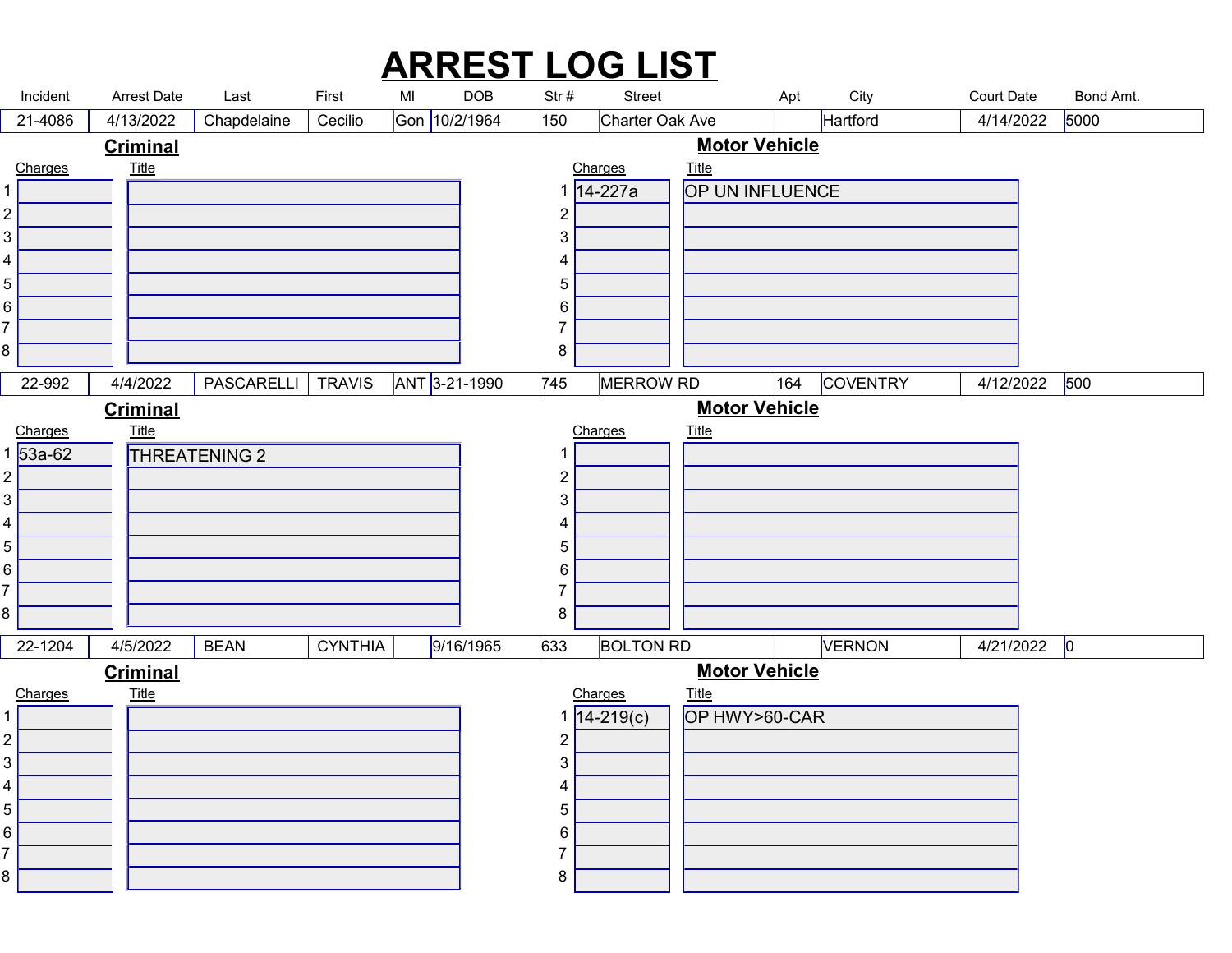## ARREST LOG LIST

| <b>ARREST LOG LIST</b><br><b>Arrest Date</b><br>City<br><b>Court Date</b><br>MI<br><b>DOB</b><br>Bond Amt.<br>Incident<br>Last<br>First<br>Str#<br>Street<br>Apt<br>Gon 10/2/1964<br>5000<br>150<br>Charter Oak Ave<br>Hartford<br>4/14/2022<br>21-4086<br>4/13/2022<br>Chapdelaine<br>Cecilio<br><b>Motor Vehicle</b><br><b>Criminal</b><br><u>Title</u><br><b>Title</b><br>Charges<br>Charges<br>OP UN INFLUENCE<br>1 14-227a<br>$\overline{2}$<br>2 <br>3<br>3 <br>4<br>4<br>$\sqrt{5}$<br>5 <br>6 <br>6<br>$\overline{7}$<br>8<br>8<br>4/4/2022 PASCARELLI TRAVIS ANT 3-21-1990 745 MERROW RD 164 COVENTRY<br>4/12/2022 500<br>$22-992$<br><b>Motor Vehicle</b><br><b>Criminal</b><br><u>Charges</u><br>1 53a-62<br><b>Title</b><br>Charges<br><u>Title</u><br>THREATENING 2<br>-1<br>2 <br>$\overline{2}$<br>$3\sqrt{ }$<br>3<br>4 <br>4<br>5 <br>5<br>6  <br>6<br>$\overline{7}$<br>8<br>8<br><b>BOLTON RD</b><br>$4/21/2022$ 0<br>4/5/2022<br><b>CYNTHIA</b><br>9/16/1965<br>633<br>VERNON<br>22-1204<br><b>BEAN</b><br><b>Motor Vehicle</b><br><b>Criminal</b><br><b>Title</b><br>Charges<br>Title<br>OP HWY>60-CAR<br>Charges<br>$1 \overline{)14 - 219(c)}$<br>2 <br>$\overline{2}$<br>3 <br>3<br>4<br>4<br>5<br>5 <br>6<br>6  <br>$\overline{7}$<br>8 |  |  |  |  |  |  |  |
|------------------------------------------------------------------------------------------------------------------------------------------------------------------------------------------------------------------------------------------------------------------------------------------------------------------------------------------------------------------------------------------------------------------------------------------------------------------------------------------------------------------------------------------------------------------------------------------------------------------------------------------------------------------------------------------------------------------------------------------------------------------------------------------------------------------------------------------------------------------------------------------------------------------------------------------------------------------------------------------------------------------------------------------------------------------------------------------------------------------------------------------------------------------------------------------------------------------------------------------------------------------|--|--|--|--|--|--|--|
|                                                                                                                                                                                                                                                                                                                                                                                                                                                                                                                                                                                                                                                                                                                                                                                                                                                                                                                                                                                                                                                                                                                                                                                                                                                                  |  |  |  |  |  |  |  |
|                                                                                                                                                                                                                                                                                                                                                                                                                                                                                                                                                                                                                                                                                                                                                                                                                                                                                                                                                                                                                                                                                                                                                                                                                                                                  |  |  |  |  |  |  |  |
|                                                                                                                                                                                                                                                                                                                                                                                                                                                                                                                                                                                                                                                                                                                                                                                                                                                                                                                                                                                                                                                                                                                                                                                                                                                                  |  |  |  |  |  |  |  |
|                                                                                                                                                                                                                                                                                                                                                                                                                                                                                                                                                                                                                                                                                                                                                                                                                                                                                                                                                                                                                                                                                                                                                                                                                                                                  |  |  |  |  |  |  |  |
|                                                                                                                                                                                                                                                                                                                                                                                                                                                                                                                                                                                                                                                                                                                                                                                                                                                                                                                                                                                                                                                                                                                                                                                                                                                                  |  |  |  |  |  |  |  |
|                                                                                                                                                                                                                                                                                                                                                                                                                                                                                                                                                                                                                                                                                                                                                                                                                                                                                                                                                                                                                                                                                                                                                                                                                                                                  |  |  |  |  |  |  |  |
|                                                                                                                                                                                                                                                                                                                                                                                                                                                                                                                                                                                                                                                                                                                                                                                                                                                                                                                                                                                                                                                                                                                                                                                                                                                                  |  |  |  |  |  |  |  |
|                                                                                                                                                                                                                                                                                                                                                                                                                                                                                                                                                                                                                                                                                                                                                                                                                                                                                                                                                                                                                                                                                                                                                                                                                                                                  |  |  |  |  |  |  |  |
|                                                                                                                                                                                                                                                                                                                                                                                                                                                                                                                                                                                                                                                                                                                                                                                                                                                                                                                                                                                                                                                                                                                                                                                                                                                                  |  |  |  |  |  |  |  |
|                                                                                                                                                                                                                                                                                                                                                                                                                                                                                                                                                                                                                                                                                                                                                                                                                                                                                                                                                                                                                                                                                                                                                                                                                                                                  |  |  |  |  |  |  |  |
|                                                                                                                                                                                                                                                                                                                                                                                                                                                                                                                                                                                                                                                                                                                                                                                                                                                                                                                                                                                                                                                                                                                                                                                                                                                                  |  |  |  |  |  |  |  |
|                                                                                                                                                                                                                                                                                                                                                                                                                                                                                                                                                                                                                                                                                                                                                                                                                                                                                                                                                                                                                                                                                                                                                                                                                                                                  |  |  |  |  |  |  |  |
|                                                                                                                                                                                                                                                                                                                                                                                                                                                                                                                                                                                                                                                                                                                                                                                                                                                                                                                                                                                                                                                                                                                                                                                                                                                                  |  |  |  |  |  |  |  |
|                                                                                                                                                                                                                                                                                                                                                                                                                                                                                                                                                                                                                                                                                                                                                                                                                                                                                                                                                                                                                                                                                                                                                                                                                                                                  |  |  |  |  |  |  |  |
|                                                                                                                                                                                                                                                                                                                                                                                                                                                                                                                                                                                                                                                                                                                                                                                                                                                                                                                                                                                                                                                                                                                                                                                                                                                                  |  |  |  |  |  |  |  |
|                                                                                                                                                                                                                                                                                                                                                                                                                                                                                                                                                                                                                                                                                                                                                                                                                                                                                                                                                                                                                                                                                                                                                                                                                                                                  |  |  |  |  |  |  |  |
|                                                                                                                                                                                                                                                                                                                                                                                                                                                                                                                                                                                                                                                                                                                                                                                                                                                                                                                                                                                                                                                                                                                                                                                                                                                                  |  |  |  |  |  |  |  |
|                                                                                                                                                                                                                                                                                                                                                                                                                                                                                                                                                                                                                                                                                                                                                                                                                                                                                                                                                                                                                                                                                                                                                                                                                                                                  |  |  |  |  |  |  |  |
|                                                                                                                                                                                                                                                                                                                                                                                                                                                                                                                                                                                                                                                                                                                                                                                                                                                                                                                                                                                                                                                                                                                                                                                                                                                                  |  |  |  |  |  |  |  |
|                                                                                                                                                                                                                                                                                                                                                                                                                                                                                                                                                                                                                                                                                                                                                                                                                                                                                                                                                                                                                                                                                                                                                                                                                                                                  |  |  |  |  |  |  |  |
|                                                                                                                                                                                                                                                                                                                                                                                                                                                                                                                                                                                                                                                                                                                                                                                                                                                                                                                                                                                                                                                                                                                                                                                                                                                                  |  |  |  |  |  |  |  |
|                                                                                                                                                                                                                                                                                                                                                                                                                                                                                                                                                                                                                                                                                                                                                                                                                                                                                                                                                                                                                                                                                                                                                                                                                                                                  |  |  |  |  |  |  |  |
|                                                                                                                                                                                                                                                                                                                                                                                                                                                                                                                                                                                                                                                                                                                                                                                                                                                                                                                                                                                                                                                                                                                                                                                                                                                                  |  |  |  |  |  |  |  |
|                                                                                                                                                                                                                                                                                                                                                                                                                                                                                                                                                                                                                                                                                                                                                                                                                                                                                                                                                                                                                                                                                                                                                                                                                                                                  |  |  |  |  |  |  |  |
|                                                                                                                                                                                                                                                                                                                                                                                                                                                                                                                                                                                                                                                                                                                                                                                                                                                                                                                                                                                                                                                                                                                                                                                                                                                                  |  |  |  |  |  |  |  |
|                                                                                                                                                                                                                                                                                                                                                                                                                                                                                                                                                                                                                                                                                                                                                                                                                                                                                                                                                                                                                                                                                                                                                                                                                                                                  |  |  |  |  |  |  |  |
|                                                                                                                                                                                                                                                                                                                                                                                                                                                                                                                                                                                                                                                                                                                                                                                                                                                                                                                                                                                                                                                                                                                                                                                                                                                                  |  |  |  |  |  |  |  |
|                                                                                                                                                                                                                                                                                                                                                                                                                                                                                                                                                                                                                                                                                                                                                                                                                                                                                                                                                                                                                                                                                                                                                                                                                                                                  |  |  |  |  |  |  |  |
|                                                                                                                                                                                                                                                                                                                                                                                                                                                                                                                                                                                                                                                                                                                                                                                                                                                                                                                                                                                                                                                                                                                                                                                                                                                                  |  |  |  |  |  |  |  |
|                                                                                                                                                                                                                                                                                                                                                                                                                                                                                                                                                                                                                                                                                                                                                                                                                                                                                                                                                                                                                                                                                                                                                                                                                                                                  |  |  |  |  |  |  |  |
|                                                                                                                                                                                                                                                                                                                                                                                                                                                                                                                                                                                                                                                                                                                                                                                                                                                                                                                                                                                                                                                                                                                                                                                                                                                                  |  |  |  |  |  |  |  |
|                                                                                                                                                                                                                                                                                                                                                                                                                                                                                                                                                                                                                                                                                                                                                                                                                                                                                                                                                                                                                                                                                                                                                                                                                                                                  |  |  |  |  |  |  |  |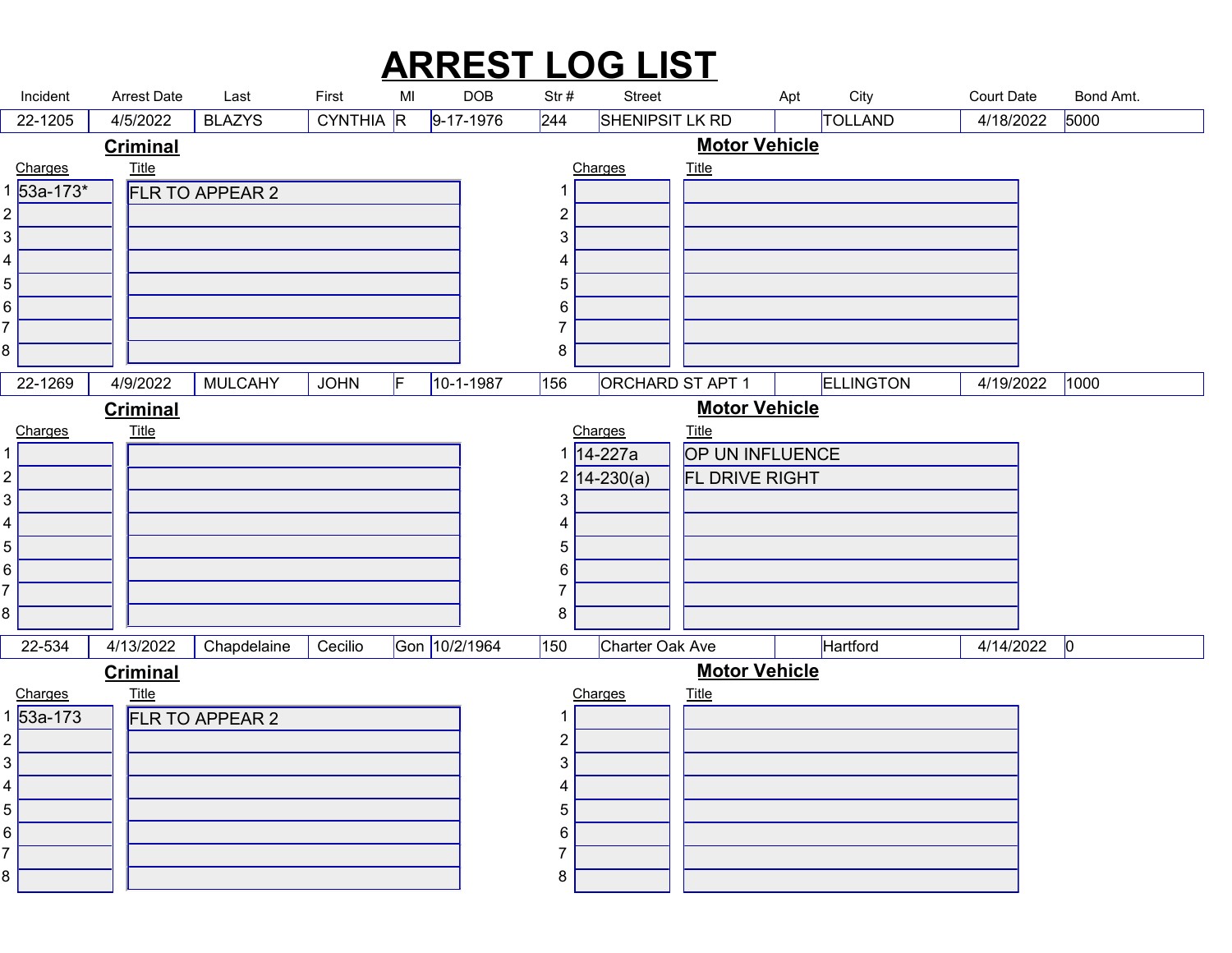## ARREST LOG LIST

|                                          |             |                                |                         |       |           |               |                               |                | <b>ARREST LOG LIST</b>           |                          |                                |                                |                   |  |
|------------------------------------------|-------------|--------------------------------|-------------------------|-------|-----------|---------------|-------------------------------|----------------|----------------------------------|--------------------------|--------------------------------|--------------------------------|-------------------|--|
| Incident<br>22-1205                      |             | <b>Arrest Date</b><br>4/5/2022 | Last<br><b>BLAZYS</b>   | First | CYNTHIA R | MI            | $\sf{DOB}$<br>$9 - 17 - 1976$ | Str#<br>244    | <b>Street</b><br>SHENIPSIT LK RD |                          | City<br>Apt<br><b>TOLLAND</b>  | <b>Court Date</b><br>4/18/2022 | Bond Amt.<br>5000 |  |
|                                          |             | <b>Criminal</b>                |                         |       |           |               |                               |                |                                  | <b>Motor Vehicle</b>     |                                |                                |                   |  |
| Charges                                  | 53a-173*    | <u>Title</u>                   | FLR TO APPEAR 2         |       |           |               |                               | -1             | Charges                          | <b>Title</b>             |                                |                                |                   |  |
| $\overline{2}$                           |             |                                |                         |       |           |               |                               | $\overline{2}$ |                                  |                          |                                |                                |                   |  |
| 3                                        |             |                                |                         |       |           |               |                               | 3              |                                  |                          |                                |                                |                   |  |
| 4<br>5                                   |             |                                |                         |       |           |               |                               | 4<br>5         |                                  |                          |                                |                                |                   |  |
| 6                                        |             |                                |                         |       |           |               |                               | 6              |                                  |                          |                                |                                |                   |  |
| 7                                        |             |                                |                         |       |           |               |                               | 7              |                                  |                          |                                |                                |                   |  |
| 8                                        |             |                                |                         |       |           |               |                               | 8              |                                  |                          |                                |                                |                   |  |
|                                          | $22 - 1269$ |                                | $4/9/2022$ MULCAHY JOHN |       |           | F.            | $10 - 1 - 1987$               |                |                                  |                          | 156 ORCHARD ST APT 1 ELLINGTON |                                | 4/19/2022 1000    |  |
|                                          |             | <b>Criminal</b>                |                         |       |           |               |                               |                |                                  | <b>Motor Vehicle</b>     |                                |                                |                   |  |
| Charges                                  |             | <b>Title</b>                   |                         |       |           |               |                               |                | Charges<br>1 14-227a             | Title<br>OP UN INFLUENCE |                                |                                |                   |  |
| $\overline{c}$                           |             |                                |                         |       |           |               |                               |                | $2\sqrt{14-230(a)}$              | FL DRIVE RIGHT           |                                |                                |                   |  |
| 3                                        |             |                                |                         |       |           |               |                               | 3              |                                  |                          |                                |                                |                   |  |
| 4                                        |             |                                |                         |       |           |               |                               |                |                                  |                          |                                |                                |                   |  |
| 5                                        |             |                                |                         |       |           |               |                               | 5              |                                  |                          |                                |                                |                   |  |
| 6<br>7                                   |             |                                |                         |       |           |               |                               | 6<br>7         |                                  |                          |                                |                                |                   |  |
| 8                                        |             |                                |                         |       |           |               |                               | 8              |                                  |                          |                                |                                |                   |  |
| 22-534                                   |             | 4/13/2022                      | Chapdelaine             |       | Cecilio   | Gon 10/2/1964 |                               | 150            | Charter Oak Ave                  |                          | Hartford                       | $4/14/2022$ 0                  |                   |  |
|                                          |             | <b>Criminal</b>                |                         |       |           |               |                               |                |                                  | <b>Motor Vehicle</b>     |                                |                                |                   |  |
| <u>Charges</u><br>1 <mark>53a-173</mark> |             | $Title$                        |                         |       |           |               |                               |                | Charges                          | $Title$                  |                                |                                |                   |  |
| $\overline{c}$                           |             |                                | FLR TO APPEAR 2         |       |           |               |                               | $\overline{2}$ |                                  |                          |                                |                                |                   |  |
| 3                                        |             |                                |                         |       |           |               |                               | 3              |                                  |                          |                                |                                |                   |  |
| 4                                        |             |                                |                         |       |           |               |                               | 4              |                                  |                          |                                |                                |                   |  |
| 5                                        |             |                                |                         |       |           |               |                               | 5              |                                  |                          |                                |                                |                   |  |
| 6<br>7                                   |             |                                |                         |       |           |               |                               | 6              |                                  |                          |                                |                                |                   |  |
| 8                                        |             |                                |                         |       |           |               |                               | 8              |                                  |                          |                                |                                |                   |  |
|                                          |             |                                |                         |       |           |               |                               |                |                                  |                          |                                |                                |                   |  |